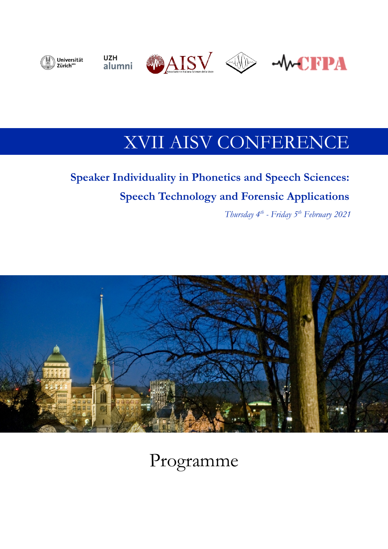

## XVII AISV CONFERENCE

## **Speaker Individuality in Phonetics and Speech Sciences: Speech Technology and Forensic Applications**

*Thursday 4th - Friday 5th February 2021*



# Programme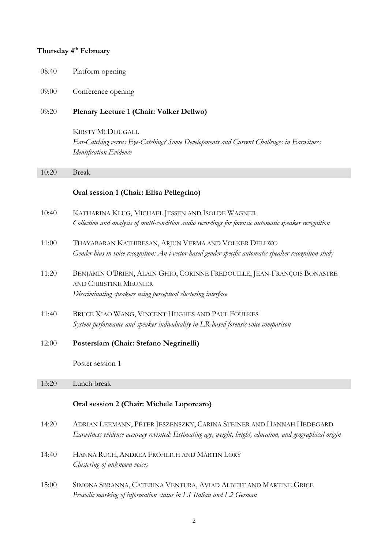#### **Thursday 4th February**

| 08:40 | Platform opening |  |
|-------|------------------|--|
|       |                  |  |

#### 09:00 Conference opening

#### 09:20 **Plenary Lecture 1 (Chair: Volker Dellwo)**

KIRSTY MCDOUGALL *Ear-Catching versus Eye-Catching? Some Developments and Current Challenges in Earwitness Identification Evidence*

#### 10:20 Break

#### **Oral session 1 (Chair: Elisa Pellegrino)**

- 10:40 KATHARINA KLUG, MICHAEL JESSEN AND ISOLDE WAGNER *Collection and analysis of multi-condition audio recordings for forensic automatic speaker recognition*
- 11:00 THAYABARAN KATHIRESAN, ARJUN VERMA AND VOLKER DELLWO *Gender bias in voice recognition: An i-vector-based gender-specific automatic speaker recognition study*
- 11:20 BENJAMIN O'BRIEN, ALAIN GHIO, CORINNE FREDOUILLE, JEAN-FRANÇOIS BONASTRE AND CHRISTINE MEUNIER *Discriminating speakers using perceptual clustering interface*
- 11:40 BRUCE XIAO WANG, VINCENT HUGHES AND PAUL FOULKES *System performance and speaker individuality in LR-based forensic voice comparison*
- 12:00 **Posterslam (Chair: Stefano Negrinelli)**

Poster session 1

#### 13:20 Lunch break

#### **Oral session 2 (Chair: Michele Loporcaro)**

- 14:20 ADRIAN LEEMANN, PÉTER JESZENSZKY, CARINA STEINER AND HANNAH HEDEGARD *Earwitness evidence accuracy revisited: Estimating age, weight, height, education, and geographical origin*
- 14:40 HANNA RUCH, ANDREA FRÖHLICH AND MARTIN LORY *Clustering of unknown voices*
- 15:00 SIMONA SBRANNA, CATERINA VENTURA, AVIAD ALBERT AND MARTINE GRICE *Prosodic marking of information status in L1 Italian and L2 German*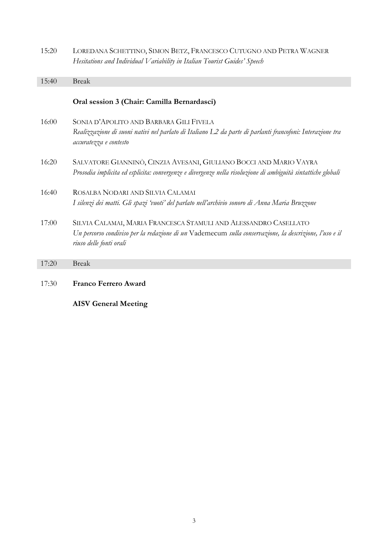| 15:20 | LOREDANA SCHETTINO, SIMON BETZ, FRANCESCO CUTUGNO AND PETRA WAGNER<br>Hesitations and Individual Variability in Italian Tourist Guides' Speech                                                        |
|-------|-------------------------------------------------------------------------------------------------------------------------------------------------------------------------------------------------------|
| 15:40 | <b>Break</b>                                                                                                                                                                                          |
|       | Oral session 3 (Chair: Camilla Bernardasci)                                                                                                                                                           |
| 16:00 | SONIA D'APOLITO AND BARBARA GILI FIVELA<br>Realizzazione di suoni nativi nel parlato di Italiano L2 da parte di parlanti francofoni: Interazione tra<br>accuratezza e contesto                        |
| 16:20 | SALVATORE GIANNINÒ, CINZIA AVESANI, GIULIANO BOCCI AND MARIO VAYRA<br>Prosodia implicita ed esplicita: convergenze e divergenze nella risoluzione di ambiguità sintattiche globali                    |
| 16:40 | ROSALBA NODARI AND SILVIA CALAMAI                                                                                                                                                                     |
|       | I silenzi dei matti. Gli spazi 'vuoti' del parlato nell'archivio sonoro di Anna Maria Bruzzone                                                                                                        |
| 17:00 | SILVIA CALAMAI, MARIA FRANCESCA STAMULI AND ALESSANDRO CASELLATO<br>Un percorso condiviso per la redazione di un Vademecum sulla conservazione, la descrizione, l'uso e il<br>riuso delle fonti orali |
| 17:20 | <b>Break</b>                                                                                                                                                                                          |
| 17:30 | <b>Franco Ferrero Award</b><br><b>AISV</b> General Meeting                                                                                                                                            |
|       |                                                                                                                                                                                                       |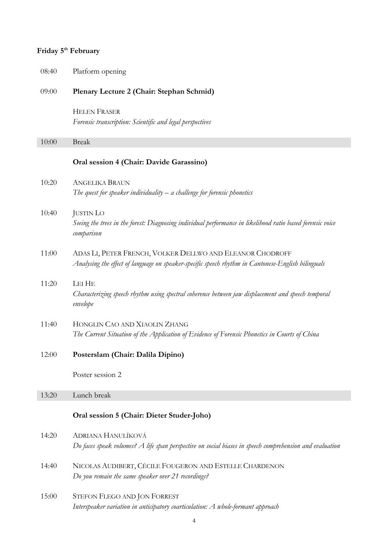### **Friday 5th February**

| 08:40 | Platform opening                                                                                                                                                |
|-------|-----------------------------------------------------------------------------------------------------------------------------------------------------------------|
| 09:00 | Plenary Lecture 2 (Chair: Stephan Schmid)                                                                                                                       |
|       | <b>HELEN FRASER</b><br>Forensic transcription: Scientific and legal perspectives                                                                                |
| 10:00 | <b>Break</b>                                                                                                                                                    |
|       | Oral session 4 (Chair: Davide Garassino)                                                                                                                        |
| 10:20 | <b>ANGELIKA BRAUN</b><br>The quest for speaker individuality $-$ a challenge for forensic phonetics                                                             |
| 10:40 | <b>JUSTIN LO</b><br>Seeing the trees in the forest: Diagnosing individual performance in likelihood ratio based forensic voice<br>comparison                    |
| 11:00 | ADAS LI, PETER FRENCH, VOLKER DELLWO AND ELEANOR CHODROFF<br>Analysing the effect of language on speaker-specific speech rhythm in Cantonese-English bilinguals |
| 11:20 | LEI HE<br>Characterizing speech rhythm using spectral coherence between jaw displacement and speech temporal<br>envelope                                        |
| 11:40 | HONGLIN CAO AND XIAOLIN ZHANG<br>The Current Situation of the Application of Evidence of Forensic Phonetics in Courts of China                                  |
| 12:00 | Posterslam (Chair: Dalila Dipino)                                                                                                                               |
|       | Poster session 2                                                                                                                                                |
| 13:20 | Lunch break                                                                                                                                                     |
|       | Oral session 5 (Chair: Dieter Studer-Joho)                                                                                                                      |
| 14:20 | ADRIANA HANULÍKOVÁ<br>Do faces speak volumes? A life span perspective on social biases in speech comprehension and evaluation                                   |
| 14:40 | NICOLAS AUDIBERT, CÉCILE FOUGERON AND ESTELLE CHARDENON<br>Do you remain the same speaker over 21 recordings?                                                   |
| 15:00 | STEFON FLEGO AND JON FORREST<br>Interspeaker variation in anticipatory coarticulation: A whole-formant approach<br>4                                            |
|       |                                                                                                                                                                 |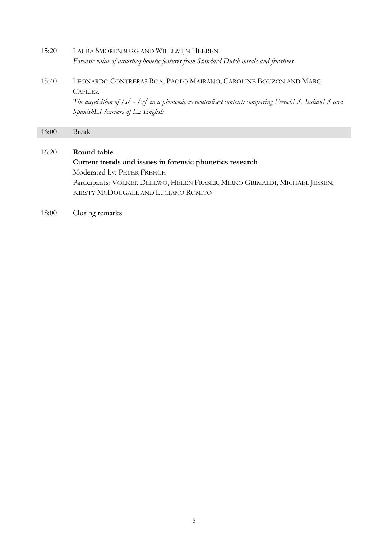- 15:20 LAURA SMORENBURG AND WILLEMIJN HEEREN *Forensic value of acoustic-phonetic features from Standard Dutch nasals and fricatives*
- 15:40 LEONARDO CONTRERAS ROA, PAOLO MAIRANO, CAROLINE BOUZON AND MARC **CAPLIEZ**

*The acquisition of /s/ - /z/ in a phonemic vs neutralised context: comparing FrenchL1, ItalianL1 and SpanishL1 learners of L2 English*

16:00 Break

#### 16:20 **Round table**

**Current trends and issues in forensic phonetics research** Moderated by: PETER FRENCH Participants: VOLKER DELLWO, HELEN FRASER, MIRKO GRIMALDI, MICHAEL JESSEN, KIRSTY MCDOUGALL AND LUCIANO ROMITO

18:00 Closing remarks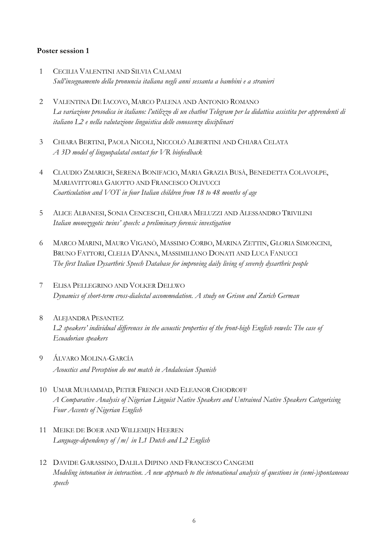#### **Poster session 1**

- 1 CECILIA VALENTINI AND SILVIA CALAMAI *Sull'insegnamento della pronuncia italiana negli anni sessanta a bambini e a stranieri*
- 2 VALENTINA DE IACOVO, MARCO PALENA AND ANTONIO ROMANO *La variazione prosodica in italiano: l'utilizzo di un chatbot Telegram per la didattica assistita per apprendenti di italiano L2 e nella valutazione linguistica delle conoscenze disciplinari*
- 3 CHIARA BERTINI, PAOLA NICOLI, NICCOLÒ ALBERTINI AND CHIARA CELATA *A 3D model of linguopalatal contact for VR biofeedback*
- 4 CLAUDIO ZMARICH, SERENA BONIFACIO, MARIA GRAZIA BUSÀ, BENEDETTA COLAVOLPE, MARIAVITTORIA GAIOTTO AND FRANCESCO OLIVUCCI *Coarticulation and VOT in four Italian children from 18 to 48 months of age*
- 5 ALICE ALBANESI, SONIA CENCESCHI, CHIARA MELUZZI AND ALESSANDRO TRIVILINI *Italian monozygotic twins' speech: a preliminary forensic investigation*
- 6 MARCO MARINI, MAURO VIGANÒ, MASSIMO CORBO, MARINA ZETTIN, GLORIA SIMONCINI, BRUNO FATTORI, CLELIA D'ANNA, MASSIMILIANO DONATI AND LUCA FANUCCI *The first Italian Dysarthric Speech Database for improving daily living of severely dysarthric people*
- 7 ELISA PELLEGRINO AND VOLKER DELLWO *Dynamics of short-term cross-dialectal accommodation. A study on Grison and Zurich German*
- 8 ALEJANDRA PESANTEZ *L2 speakers' individual differences in the acoustic properties of the front-high English vowels: The case of Ecuadorian speakers*
- 9 ÁLVARO MOLINA-GARCÍA *Acoustics and Perception do not match in Andalusian Spanish*
- 10 UMAR MUHAMMAD, PETER FRENCH AND ELEANOR CHODROFF *A Comparative Analysis of Nigerian Linguist Native Speakers and Untrained Native Speakers Categorising Four Accents of Nigerian English*
- 11 MEIKE DE BOER AND WILLEMIJN HEEREN *Language-dependency of /m/ in L1 Dutch and L2 English*
- 12 DAVIDE GARASSINO, DALILA DIPINO AND FRANCESCO CANGEMI *Modeling intonation in interaction. A new approach to the intonational analysis of questions in (semi-)spontaneous speech*